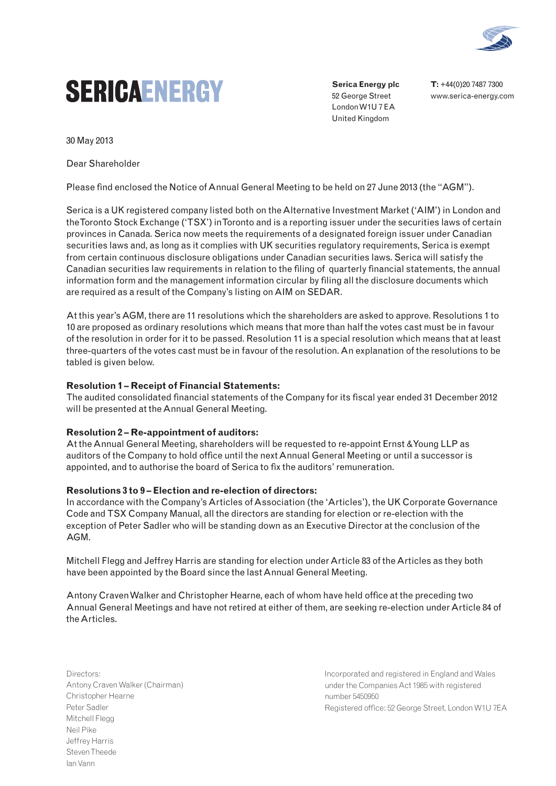

# **SERICAENERGY**

**Serica Energy plc** 52 George Street London W1U 7 EA United Kingdom

**T:** +44(0)20 7487 7300 www.serica-energy.com

30 May 2013

Dear Shareholder

Please find enclosed the Notice of Annual General Meeting to be held on 27 June 2013 (the "AGM").

Serica is a UK registered company listed both on the Alternative Investment Market ('AIM') in London and the Toronto Stock Exchange ('TSX') in Toronto and is a reporting issuer under the securities laws of certain provinces in Canada. Serica now meets the requirements of a designated foreign issuer under Canadian securities laws and, as long as it complies with UK securities regulatory requirements, Serica is exempt from certain continuous disclosure obligations under Canadian securities laws. Serica will satisfy the Canadian securities law requirements in relation to the filing of quarterly financial statements, the annual information form and the management information circular by filing all the disclosure documents which are required as a result of the Company's listing on AIM on SEDAR.

At this year's AGM, there are 11 resolutions which the shareholders are asked to approve. Resolutions 1 to 10 are proposed as ordinary resolutions which means that more than half the votes cast must be in favour of the resolution in order for it to be passed. Resolution 11 is a special resolution which means that at least three-quarters of the votes cast must be in favour of the resolution. An explanation of the resolutions to be tabled is given below.

# **Resolution 1 – Receipt of Financial Statements:**

The audited consolidated financial statements of the Company for its fiscal year ended 31 December 2012 will be presented at the Annual General Meeting.

# **Resolution 2 – Re-appointment of auditors:**

At the Annual General Meeting, shareholders will be requested to re-appoint Ernst & Young LLP as auditors of the Company to hold office until the next Annual General Meeting or until a successor is appointed, and to authorise the board of Serica to fix the auditors' remuneration.

### **Resolutions 3 to 9 – Election and re-election of directors:**

In accordance with the Company's Articles of Association (the 'Articles'), the UK Corporate Governance Code and TSX Company Manual, all the directors are standing for election or re-election with the exception of Peter Sadler who will be standing down as an Executive Director at the conclusion of the AGM.

Mitchell Flegg and Jeffrey Harris are standing for election under Article 83 of the Articles as they both have been appointed by the Board since the last Annual General Meeting.

Antony Craven Walker and Christopher Hearne, each of whom have held office at the preceding two Annual General Meetings and have not retired at either of them, are seeking re-election under Article 84 of the Articles.

Directors: Antony Craven Walker (Chairman) Christopher Hearne Peter Sadler Mitchell Flegg Neil Pike Jeffrey Harris Steven Theede Ian Vann

Incorporated and registered in England and Wales under the Companies Act 1985 with registered number 5450950 Registered office: 52 George Street, London W1U 7EA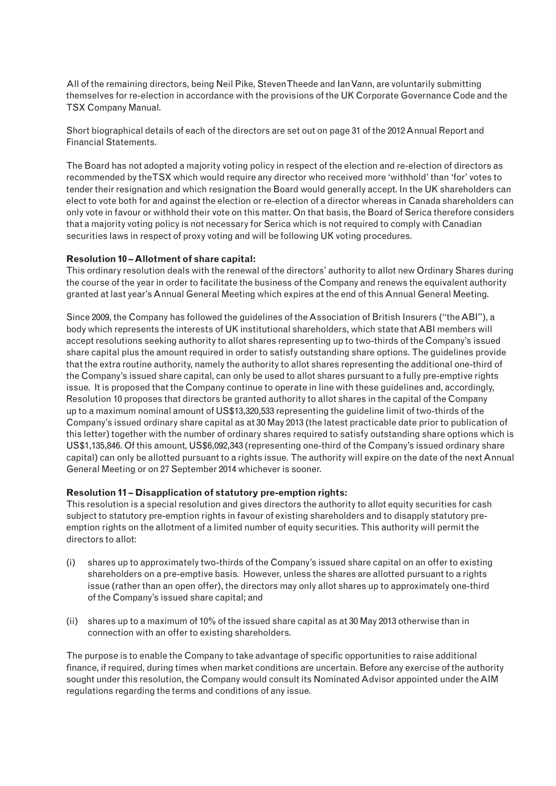All of the remaining directors, being Neil Pike, Steven Theede and Ian Vann, are voluntarily submitting themselves for re-election in accordance with the provisions of the UK Corporate Governance Code and the TSX Company Manual.

Short biographical details of each of the directors are set out on page 31 of the 2012 Annual Report and Financial Statements.

The Board has not adopted a majority voting policy in respect of the election and re-election of directors as recommended by the TSX which would require any director who received more 'withhold' than 'for' votes to tender their resignation and which resignation the Board would generally accept. In the UK shareholders can elect to vote both for and against the election or re-election of a director whereas in Canada shareholders can only vote in favour or withhold their vote on this matter. On that basis, the Board of Serica therefore considers that a majority voting policy is not necessary for Serica which is not required to comply with Canadian securities laws in respect of proxy voting and will be following UK voting procedures.

# **Resolution 10 – Allotment of share capital:**

This ordinary resolution deals with the renewal of the directors' authority to allot new Ordinary Shares during the course of the year in order to facilitate the business of the Company and renews the equivalent authority granted at last year's Annual General Meeting which expires at the end of this Annual General Meeting.

Since 2009, the Company has followed the guidelines of the Association of British Insurers ("the ABI"), a body which represents the interests of UK institutional shareholders, which state that ABI members will accept resolutions seeking authority to allot shares representing up to two-thirds of the Company's issued share capital plus the amount required in order to satisfy outstanding share options. The guidelines provide that the extra routine authority, namely the authority to allot shares representing the additional one-third of the Company's issued share capital, can only be used to allot shares pursuant to a fully pre-emptive rights issue. It is proposed that the Company continue to operate in line with these guidelines and, accordingly, Resolution 10 proposes that directors be granted authority to allot shares in the capital of the Company up to a maximum nominal amount of US\$13,320,533 representing the guideline limit of two-thirds of the Company's issued ordinary share capital as at 30 May 2013 (the latest practicable date prior to publication of this letter) together with the number of ordinary shares required to satisfy outstanding share options which is US\$1,135,846. Of this amount, US\$6,092,343 (representing one-third of the Company's issued ordinary share capital) can only be allotted pursuant to a rights issue. The authority will expire on the date of the next Annual General Meeting or on 27 September 2014 whichever is sooner.

### **Resolution 11 – Disapplication of statutory pre-emption rights:**

This resolution is a special resolution and gives directors the authority to allot equity securities for cash subject to statutory pre-emption rights in favour of existing shareholders and to disapply statutory preemption rights on the allotment of a limited number of equity securities. This authority will permit the directors to allot:

- (i) shares up to approximately two-thirds of the Company's issued share capital on an offer to existing shareholders on a pre-emptive basis. However, unless the shares are allotted pursuant to a rights issue (rather than an open offer), the directors may only allot shares up to approximately one-third of the Company's issued share capital; and
- (ii) shares up to a maximum of 10% of the issued share capital as at 30 May 2013 otherwise than in connection with an offer to existing shareholders.

The purpose is to enable the Company to take advantage of specific opportunities to raise additional finance, if required, during times when market conditions are uncertain. Before any exercise of the authority sought under this resolution, the Company would consult its Nominated Advisor appointed under the AIM regulations regarding the terms and conditions of any issue.